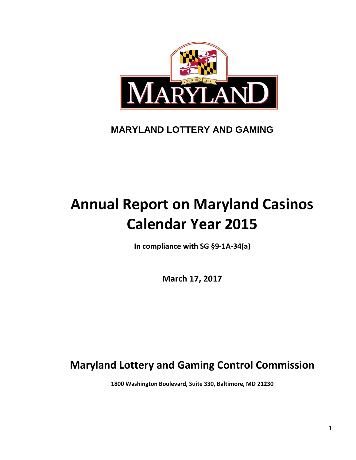

## **MARYLAND LOTTERY AND GAMING**

# **Annual Report on Maryland Casinos Calendar Year 2015**

**In compliance with SG §9-1A-34(a)**

**March 17, 2017**

## **Maryland Lottery and Gaming Control Commission**

**1800 Washington Boulevard, Suite 330, Baltimore, MD 21230**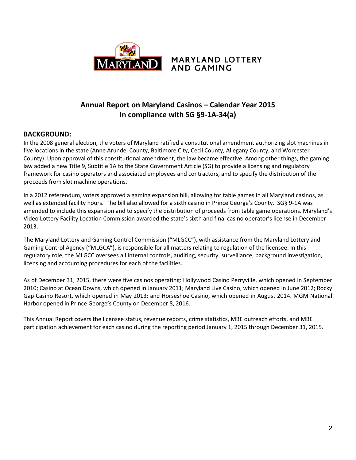

## **Annual Report on Maryland Casinos – Calendar Year 2015 In compliance with SG §9-1A-34(a)**

## **BACKGROUND:**

In the 2008 general election, the voters of Maryland ratified a constitutional amendment authorizing slot machines in five locations in the state (Anne Arundel County, Baltimore City, Cecil County, Allegany County, and Worcester County). Upon approval of this constitutional amendment, the law became effective. Among other things, the gaming law added a new Title 9, Subtitle 1A to the State Government Article (SG) to provide a licensing and regulatory framework for casino operators and associated employees and contractors, and to specify the distribution of the proceeds from slot machine operations.

In a 2012 referendum, voters approved a gaming expansion bill, allowing for table games in all Maryland casinos, as well as extended facility hours. The bill also allowed for a sixth casino in Prince George's County. SG§ 9-1A was amended to include this expansion and to specify the distribution of proceeds from table game operations. Maryland's Video Lottery Facility Location Commission awarded the state's sixth and final casino operator's license in December 2013.

The Maryland Lottery and Gaming Control Commission ("MLGCC"), with assistance from the Maryland Lottery and Gaming Control Agency ("MLGCA"), is responsible for all matters relating to regulation of the licensee. In this regulatory role, the MLGCC oversees all internal controls, auditing, security, surveillance, background investigation, licensing and accounting procedures for each of the facilities.

As of December 31, 2015, there were five casinos operating: Hollywood Casino Perryville, which opened in September 2010; Casino at Ocean Downs, which opened in January 2011; Maryland Live Casino, which opened in June 2012; Rocky Gap Casino Resort, which opened in May 2013; and Horseshoe Casino, which opened in August 2014. MGM National Harbor opened in Prince George's County on December 8, 2016.

This Annual Report covers the licensee status, revenue reports, crime statistics, MBE outreach efforts, and MBE participation achievement for each casino during the reporting period January 1, 2015 through December 31, 2015.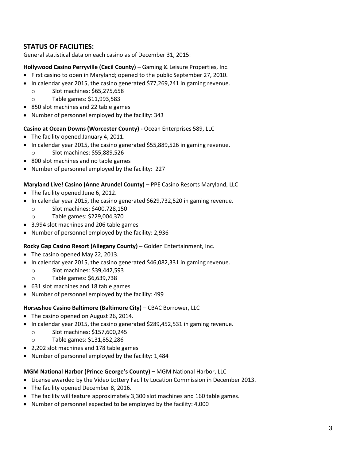## **STATUS OF FACILITIES:**

General statistical data on each casino as of December 31, 2015:

## **Hollywood Casino Perryville (Cecil County) –** Gaming & Leisure Properties, Inc.

- First casino to open in Maryland; opened to the public September 27, 2010.
- In calendar year 2015, the casino generated \$77,269,241 in gaming revenue.
	- o Slot machines: \$65,275,658
	- o Table games: \$11,993,583
- 850 slot machines and 22 table games
- Number of personnel employed by the facility: 343

#### **Casino at Ocean Downs (Worcester County) -** Ocean Enterprises 589, LLC

- The facility opened January 4, 2011.
- In calendar year 2015, the casino generated \$55,889,526 in gaming revenue. Slot machines: \$55,889,526
- 800 slot machines and no table games
- Number of personnel employed by the facility: 227

#### **Maryland Live! Casino (Anne Arundel County)** – PPE Casino Resorts Maryland, LLC

- The facility opened June 6, 2012.
- In calendar year 2015, the casino generated \$629,732,520 in gaming revenue.
	- o Slot machines: \$400,728,150
	- o Table games: \$229,004,370
- 3,994 slot machines and 206 table games
- Number of personnel employed by the facility: 2,936

## **Rocky Gap Casino Resort (Allegany County)** – Golden Entertainment, Inc.

- The casino opened May 22, 2013.
- In calendar year 2015, the casino generated \$46,082,331 in gaming revenue.
	- o Slot machines: \$39,442,593
	- o Table games: \$6,639,738
- 631 slot machines and 18 table games
- Number of personnel employed by the facility: 499

#### **Horseshoe Casino Baltimore (Baltimore City)** – CBAC Borrower, LLC

- The casino opened on August 26, 2014.
- In calendar year 2015, the casino generated \$289,452,531 in gaming revenue.
	- o Slot machines: \$157,600,245
	- o Table games: \$131,852,286
- 2,202 slot machines and 178 table games
- Number of personnel employed by the facility: 1,484

#### **MGM National Harbor (Prince George's County) –** MGM National Harbor, LLC

- License awarded by the Video Lottery Facility Location Commission in December 2013.
- The facility opened December 8, 2016.
- The facility will feature approximately 3,300 slot machines and 160 table games.
- Number of personnel expected to be employed by the facility: 4,000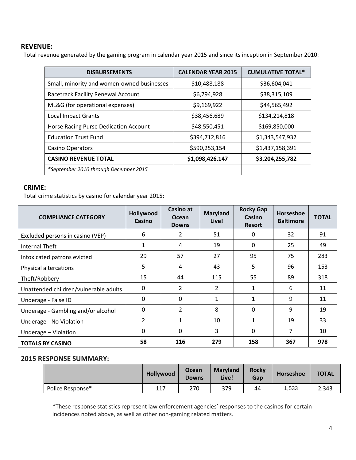## **REVENUE:**

Total revenue generated by the gaming program in calendar year 2015 and since its inception in September 2010:

| <b>DISBURSEMENTS</b>                       | <b>CALENDAR YEAR 2015</b> | <b>CUMULATIVE TOTAL*</b> |
|--------------------------------------------|---------------------------|--------------------------|
| Small, minority and women-owned businesses | \$10,488,188              | \$36,604,041             |
| Racetrack Facility Renewal Account         | \$6,794,928               | \$38,315,109             |
| ML&G (for operational expenses)            | \$9,169,922               | \$44,565,492             |
| <b>Local Impact Grants</b>                 | \$38,456,689              | \$134,214,818            |
| Horse Racing Purse Dedication Account      | \$48,550,451              | \$169,850,000            |
| <b>Education Trust Fund</b>                | \$394,712,816             | \$1,343,547,932          |
| <b>Casino Operators</b>                    | \$590,253,154             | \$1,437,158,391          |
| <b>CASINO REVENUE TOTAL</b>                | \$1,098,426,147           | \$3,204,255,782          |
| *September 2010 through December 2015      |                           |                          |

#### **CRIME:**

Total crime statistics by casino for calendar year 2015:

| <b>COMPLIANCE CATEGORY</b>            | Hollywood<br><b>Casino</b> | Casino at<br><b>Ocean</b><br><b>Downs</b> | <b>Maryland</b><br>Live! | <b>Rocky Gap</b><br>Casino<br><b>Resort</b> | Horseshoe<br><b>Baltimore</b> | <b>TOTAL</b> |
|---------------------------------------|----------------------------|-------------------------------------------|--------------------------|---------------------------------------------|-------------------------------|--------------|
| Excluded persons in casino (VEP)      | 6                          | 2                                         | 51                       | 0                                           | 32                            | 91           |
| Internal Theft                        | $\mathbf{1}$               | 4                                         | 19                       | $\Omega$                                    | 25                            | 49           |
| Intoxicated patrons evicted           | 29                         | 57                                        | 27                       | 95                                          | 75                            | 283          |
| <b>Physical altercations</b>          | 5                          | 4                                         | 43                       | 5                                           | 96                            | 153          |
| Theft/Robbery                         | 15                         | 44                                        | 115                      | 55                                          | 89                            | 318          |
| Unattended children/vulnerable adults | $\Omega$                   | $\overline{2}$                            | 2                        | 1                                           | 6                             | 11           |
| Underage - False ID                   | 0                          | $\Omega$                                  | $\mathbf{1}$             |                                             | 9                             | 11           |
| Underage - Gambling and/or alcohol    | $\Omega$                   | $\overline{2}$                            | 8                        | $\Omega$                                    | 9                             | 19           |
| Underage - No Violation               | 2                          | 1                                         | 10                       |                                             | 19                            | 33           |
| Underage - Violation                  | 0                          | $\Omega$                                  | 3                        | $\Omega$                                    | 7                             | 10           |
| <b>TOTALS BY CASINO</b>               | 58                         | 116                                       | 279                      | 158                                         | 367                           | 978          |

## **2015 RESPONSE SUMMARY:**

|                  | Hollywood | Maryland<br><b>Ocean</b><br>Live!<br><b>Downs</b> |     | Rocky<br>Gap | Horseshoe | <b>TOTAL</b> |
|------------------|-----------|---------------------------------------------------|-----|--------------|-----------|--------------|
| Police Response* | 117       | 270                                               | 379 | 44           | 1,533     | 2,343        |

\*These response statistics represent law enforcement agencies' responses to the casinos for certain incidences noted above, as well as other non-gaming related matters.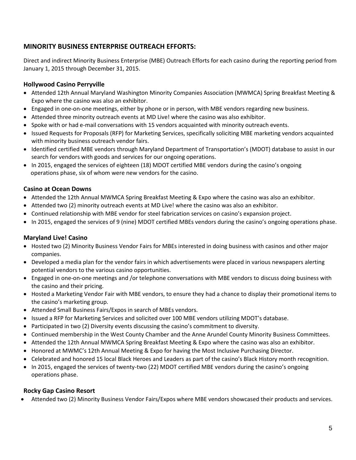## **MINORITY BUSINESS ENTERPRISE OUTREACH EFFORTS:**

Direct and indirect Minority Business Enterprise (MBE) Outreach Efforts for each casino during the reporting period from January 1, 2015 through December 31, 2015.

## **Hollywood Casino Perryville**

- Attended 12th Annual Maryland Washington Minority Companies Association (MWMCA) Spring Breakfast Meeting & Expo where the casino was also an exhibitor.
- Engaged in one-on-one meetings, either by phone or in person, with MBE vendors regarding new business.
- Attended three minority outreach events at MD Live! where the casino was also exhibitor.
- Spoke with or had e-mail conversations with 15 vendors acquainted with minority outreach events.
- Issued Requests for Proposals (RFP) for Marketing Services, specifically soliciting MBE marketing vendors acquainted with minority business outreach vendor fairs.
- Identified certified MBE vendors through Maryland Department of Transportation's (MDOT) database to assist in our search for vendors with goods and services for our ongoing operations.
- In 2015, engaged the services of eighteen (18) MDOT certified MBE vendors during the casino's ongoing operations phase, six of whom were new vendors for the casino.

## **Casino at Ocean Downs**

- Attended the 12th Annual MWMCA Spring Breakfast Meeting & Expo where the casino was also an exhibitor.
- Attended two (2) minority outreach events at MD Live! where the casino was also an exhibitor.
- Continued relationship with MBE vendor for steel fabrication services on casino's expansion project.
- In 2015, engaged the services of 9 (nine) MDOT certified MBEs vendors during the casino's ongoing operations phase.

## **Maryland Live! Casino**

- Hosted two (2) Minority Business Vendor Fairs for MBEs interested in doing business with casinos and other major companies.
- Developed a media plan for the vendor fairs in which advertisements were placed in various newspapers alerting potential vendors to the various casino opportunities.
- Engaged in one-on-one meetings and /or telephone conversations with MBE vendors to discuss doing business with the casino and their pricing.
- Hosted a Marketing Vendor Fair with MBE vendors, to ensure they had a chance to display their promotional items to the casino's marketing group.
- Attended Small Business Fairs/Expos in search of MBEs vendors.
- Issued a RFP for Marketing Services and solicited over 100 MBE vendors utilizing MDOT's database.
- Participated in two (2) Diversity events discussing the casino's commitment to diversity.
- Continued membership in the West County Chamber and the Anne Arundel County Minority Business Committees.
- Attended the 12th Annual MWMCA Spring Breakfast Meeting & Expo where the casino was also an exhibitor.
- Honored at MWMC's 12th Annual Meeting & Expo for having the Most Inclusive Purchasing Director.
- Celebrated and honored 15 local Black Heroes and Leaders as part of the casino's Black History month recognition.
- In 2015, engaged the services of twenty-two (22) MDOT certified MBE vendors during the casino's ongoing operations phase.

## **Rocky Gap Casino Resort**

Attended two (2) Minority Business Vendor Fairs/Expos where MBE vendors showcased their products and services.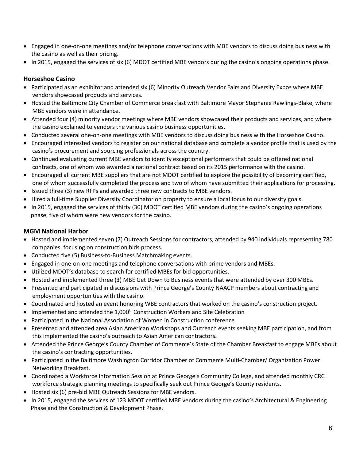- Engaged in one-on-one meetings and/or telephone conversations with MBE vendors to discuss doing business with the casino as well as their pricing.
- In 2015, engaged the services of six (6) MDOT certified MBE vendors during the casino's ongoing operations phase.

## **Horseshoe Casino**

- Participated as an exhibitor and attended six (6) Minority Outreach Vendor Fairs and Diversity Expos where MBE vendors showcased products and services.
- Hosted the Baltimore City Chamber of Commerce breakfast with Baltimore Mayor Stephanie Rawlings-Blake, where MBE vendors were in attendance.
- Attended four (4) minority vendor meetings where MBE vendors showcased their products and services, and where the casino explained to vendors the various casino business opportunities.
- Conducted several one-on-one meetings with MBE vendors to discuss doing business with the Horseshoe Casino.
- Encouraged interested vendors to register on our national database and complete a vendor profile that is used by the casino's procurement and sourcing professionals across the country.
- Continued evaluating current MBE vendors to identify exceptional performers that could be offered national contracts, one of whom was awarded a national contract based on its 2015 performance with the casino.
- Encouraged all current MBE suppliers that are not MDOT certified to explore the possibility of becoming certified, one of whom successfully completed the process and two of whom have submitted their applications for processing.
- Issued three (3) new RFPs and awarded three new contracts to MBE vendors.
- Hired a full-time Supplier Diversity Coordinator on property to ensure a local focus to our diversity goals.
- In 2015, engaged the services of thirty (30) MDOT certified MBE vendors during the casino's ongoing operations phase, five of whom were new vendors for the casino.

## **MGM National Harbor**

- Hosted and implemented seven (7) Outreach Sessions for contractors, attended by 940 individuals representing 780 companies, focusing on construction bids process.
- Conducted five (5) Business-to-Business Matchmaking events.
- Engaged in one-on-one meetings and telephone conversations with prime vendors and MBEs.
- Utilized MDOT's database to search for certified MBEs for bid opportunities.
- Hosted and implemented three (3) MBE Get Down to Business events that were attended by over 300 MBEs.
- Presented and participated in discussions with Prince George's County NAACP members about contracting and employment opportunities with the casino.
- Coordinated and hosted an event honoring WBE contractors that worked on the casino's construction project.
- $\bullet$  Implemented and attended the 1,000<sup>th</sup> Construction Workers and Site Celebration
- Participated in the National Association of Women in Construction conference.
- Presented and attended area Asian American Workshops and Outreach events seeking MBE participation, and from this implemented the casino's outreach to Asian American contractors.
- Attended the Prince George's County Chamber of Commerce's State of the Chamber Breakfast to engage MBEs about the casino's contracting opportunities.
- Participated in the Baltimore Washington Corridor Chamber of Commerce Multi-Chamber/ Organization Power Networking Breakfast.
- Coordinated a Workforce Information Session at Prince George's Community College, and attended monthly CRC workforce strategic planning meetings to specifically seek out Prince George's County residents.
- Hosted six (6) pre-bid MBE Outreach Sessions for MBE vendors.
- In 2015, engaged the services of 123 MDOT certified MBE vendors during the casino's Architectural & Engineering Phase and the Construction & Development Phase.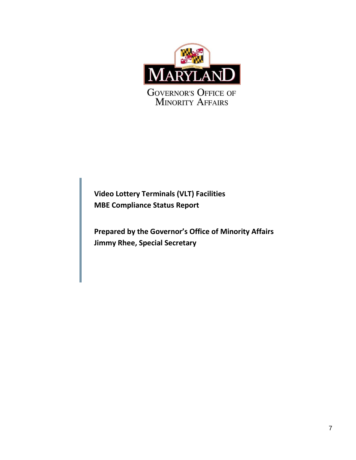

**Video Lottery Terminals (VLT) Facilities MBE Compliance Status Report**

**Prepared by the Governor's Office of Minority Affairs Jimmy Rhee, Special Secretary**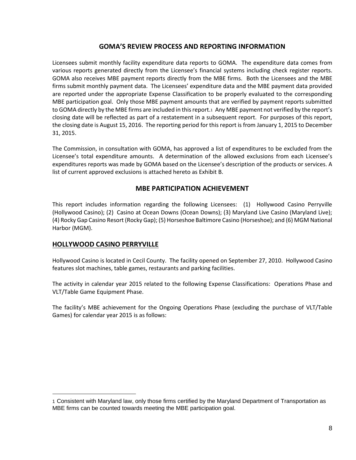## **GOMA'S REVIEW PROCESS AND REPORTING INFORMATION**

Licensees submit monthly facility expenditure data reports to GOMA. The expenditure data comes from various reports generated directly from the Licensee's financial systems including check register reports. GOMA also receives MBE payment reports directly from the MBE firms. Both the Licensees and the MBE firms submit monthly payment data. The Licensees' expenditure data and the MBE payment data provided are reported under the appropriate Expense Classification to be properly evaluated to the corresponding MBE participation goal. Only those MBE payment amounts that are verified by payment reports submitted to GOMA directly by the MBE firms are included in this report.1 Any MBE payment not verified by the report's closing date will be reflected as part of a restatement in a subsequent report. For purposes of this report, the closing date is August 15, 2016. The reporting period for this report is from January 1, 2015 to December 31, 2015.

The Commission, in consultation with GOMA, has approved a list of expenditures to be excluded from the Licensee's total expenditure amounts. A determination of the allowed exclusions from each Licensee's expenditures reports was made by GOMA based on the Licensee's description of the products or services. A list of current approved exclusions is attached hereto as Exhibit B.

## **MBE PARTICIPATION ACHIEVEMENT**

This report includes information regarding the following Licensees: (1) Hollywood Casino Perryville (Hollywood Casino); (2) Casino at Ocean Downs (Ocean Downs); (3) Maryland Live Casino (Maryland Live); (4) Rocky Gap Casino Resort (Rocky Gap); (5) Horseshoe Baltimore Casino (Horseshoe); and (6) MGM National Harbor (MGM).

## **HOLLYWOOD CASINO PERRYVILLE**

 $\overline{a}$ 

Hollywood Casino is located in Cecil County. The facility opened on September 27, 2010. Hollywood Casino features slot machines, table games, restaurants and parking facilities.

The activity in calendar year 2015 related to the following Expense Classifications: Operations Phase and VLT/Table Game Equipment Phase.

The facility's MBE achievement for the Ongoing Operations Phase (excluding the purchase of VLT/Table Games) for calendar year 2015 is as follows:

<sup>1</sup> Consistent with Maryland law, only those firms certified by the Maryland Department of Transportation as MBE firms can be counted towards meeting the MBE participation goal.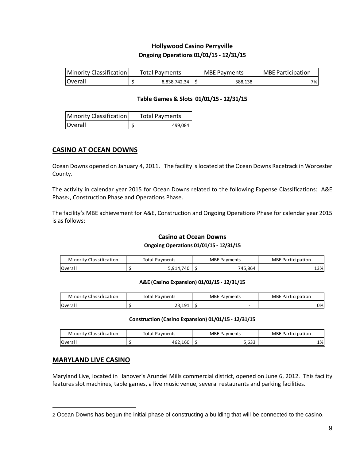## **Hollywood Casino Perryville Ongoing Operations 01/01/15 - 12/31/15**

| Minority Classification | <b>Total Payments</b> | <b>MBE Payments</b> | <b>MBE Participation</b> |
|-------------------------|-----------------------|---------------------|--------------------------|
| <b>Overall</b>          | 8.838.742.34          | 588.138             | 7%।                      |

#### **Table Games & Slots 01/01/15 - 12/31/15**

| Minority Classification | <b>Total Payments</b> |         |  |  |
|-------------------------|-----------------------|---------|--|--|
| Overall                 |                       | 499.084 |  |  |

## **CASINO AT OCEAN DOWNS**

Ocean Downs opened on January 4, 2011. The facility is located at the Ocean Downs Racetrack in Worcester County.

The activity in calendar year 2015 for Ocean Downs related to the following Expense Classifications: A&E Phase2, Construction Phase and Operations Phase.

The facility's MBE achievement for A&E, Construction and Ongoing Operations Phase for calendar year 2015 is as follows:

## **Casino at Ocean Downs**

#### **Ongoing Operations 01/01/15 - 12/31/15**

| Minority Classification | Total Pavments | <b>MBE Payments</b> | <b>MBE Participation</b> |
|-------------------------|----------------|---------------------|--------------------------|
| <b>Overall</b>          | .740           | 745.864             | 13%                      |

#### **A&E (Casino Expansion) 01/01/15 - 12/31/15**

| A&E (Casino Expansion) 01/01/15 - 12/31/15 |  |                       |                     |                          |  |  |  |  |
|--------------------------------------------|--|-----------------------|---------------------|--------------------------|--|--|--|--|
| Minority Classification                    |  | <b>Total Payments</b> | <b>MBE Payments</b> | <b>MBE Participation</b> |  |  |  |  |
| <b>Overall</b>                             |  | 23.191                | -                   | 0%                       |  |  |  |  |
|                                            |  |                       |                     |                          |  |  |  |  |

#### **Construction (Casino Expansion) 01/01/15 - 12/31/15**

| Construction (Casino Expansion) 01/01/15 - 12/31/15 |  |                       |  |                     |                          |     |  |  |
|-----------------------------------------------------|--|-----------------------|--|---------------------|--------------------------|-----|--|--|
| Minority Classification                             |  | <b>Total Payments</b> |  | <b>MBE Payments</b> | <b>MBE Participation</b> |     |  |  |
| Overall                                             |  | 462.160               |  | 5.633               |                          | 1%l |  |  |
|                                                     |  |                       |  |                     |                          |     |  |  |

## **MARYLAND LIVE CASINO**

Maryland Live, located in Hanover's Arundel Mills commercial district, opened on June 6, 2012. This facility features slot machines, table games, a live music venue, several restaurants and parking facilities.

<sup>2</sup> Ocean Downs has begun the initial phase of constructing a building that will be connected to the casino.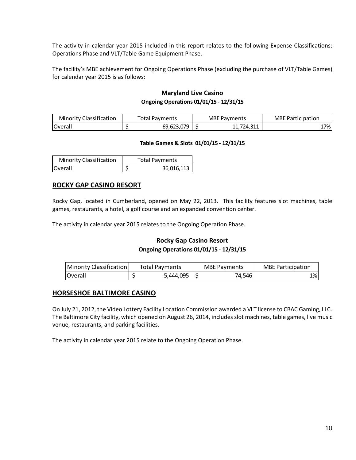The activity in calendar year 2015 included in this report relates to the following Expense Classifications: Operations Phase and VLT/Table Game Equipment Phase.

The facility's MBE achievement for Ongoing Operations Phase (excluding the purchase of VLT/Table Games) for calendar year 2015 is as follows:

## **Maryland Live Casino Ongoing Operations 01/01/15 - 12/31/15**

| <b>Minority Classification</b> | Total Payments | <b>MBE Payments</b> | <b>MBE Participation</b> |
|--------------------------------|----------------|---------------------|--------------------------|
| Overall                        | 69,623,079     | 724.311             | 17%                      |

#### **Table Games & Slots 01/01/15 - 12/31/15**

| <b>Minority Classification</b> | <b>Total Payments</b> |            |  |
|--------------------------------|-----------------------|------------|--|
| <b>lOverall</b>                |                       | 36,016,113 |  |

#### **ROCKY GAP CASINO RESORT**

Rocky Gap, located in Cumberland, opened on May 22, 2013. This facility features slot machines, table games, restaurants, a hotel, a golf course and an expanded convention center.

The activity in calendar year 2015 relates to the Ongoing Operation Phase.

## **Rocky Gap Casino Resort Ongoing Operations 01/01/15 - 12/31/15**

| Minority Classification | <b>Total Pavments</b> | <b>MBE Payments</b> | <b>MBE Participation</b> |
|-------------------------|-----------------------|---------------------|--------------------------|
| <b>IOverall</b>         | 5,444,095             | 74,546              | 1%                       |

#### **HORSESHOE BALTIMORE CASINO**

On July 21, 2012, the Video Lottery Facility Location Commission awarded a VLT license to CBAC Gaming, LLC. The Baltimore City facility, which opened on August 26, 2014, includes slot machines, table games, live music venue, restaurants, and parking facilities.

The activity in calendar year 2015 relate to the Ongoing Operation Phase.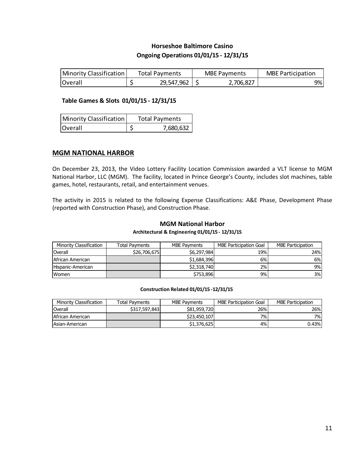## **Horseshoe Baltimore Casino Ongoing Operations 01/01/15 - 12/31/15**

| Minority Classification | Total Pavments |                   | <b>MBE Payments</b> | <b>MBE Participation</b> |
|-------------------------|----------------|-------------------|---------------------|--------------------------|
| <b>Overall</b>          |                | $29,547,962$   \$ | 2,706,827           | 9%                       |

#### **Table Games & Slots 01/01/15 - 12/31/15**

| Minority Classification | <b>Total Payments</b> |
|-------------------------|-----------------------|
| Overall                 | 7,680,632             |

#### **MGM NATIONAL HARBOR**

On December 23, 2013, the Video Lottery Facility Location Commission awarded a VLT license to MGM National Harbor, LLC (MGM). The facility, located in Prince George's County, includes slot machines, table games, hotel, restaurants, retail, and entertainment venues.

The activity in 2015 is related to the following Expense Classifications: A&E Phase, Development Phase (reported with Construction Phase), and Construction Phase.

#### **MGM National Harbor**

#### **Architectural & Engineering 01/01/15 - 12/31/15**

| Minority Classification | <b>Total Pavments</b> | MBE Pavments | <b>MBE Participation Goal</b> | <b>MBE Participation</b> |
|-------------------------|-----------------------|--------------|-------------------------------|--------------------------|
| Overall                 | \$26,706,675          | \$6,297,984  | 19%                           | 24%I                     |
| African American        |                       | \$1,684,396  | 6%                            | 6%l                      |
| Hispanic-American       |                       | \$2,318,740  | 2%                            | 9%I                      |
| Women                   |                       | \$753,896    | 9%                            | 3%                       |

#### **Construction Related 01/01/15 -12/31/15**

| Minority Classification | <b>Total Pavments</b> | <b>MBE Payments</b> | MBE Participation Goal | <b>MBE Participation</b> |
|-------------------------|-----------------------|---------------------|------------------------|--------------------------|
| Overall                 | \$317.597.843         | \$81,959,720        | 26%                    | 26%                      |
| African American        |                       | \$23,450,107        | 7%                     | 7%I                      |
| <b>Asian-American</b>   |                       | \$1,376,625         | 4%                     | 0.43%                    |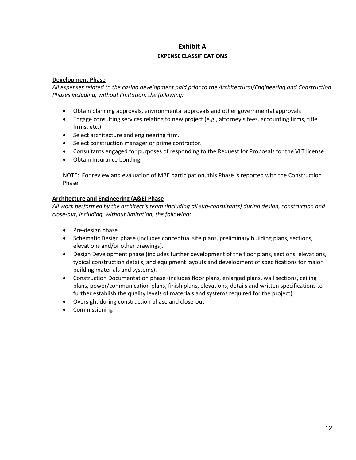## **Exhibit A**

#### **EXPENSE CLASSIFICATIONS**

#### **Development Phase**

*All expenses related to the casino development paid prior to the Architectural/Engineering and Construction Phases including, without limitation, the following:*

- Obtain planning approvals, environmental approvals and other governmental approvals
- Engage consulting services relating to new project (e.g., attorney's fees, accounting firms, title firms, etc.)
- Select architecture and engineering firm.
- Select construction manager or prime contractor.
- Consultants engaged for purposes of responding to the Request for Proposals for the VLT license
- Obtain Insurance bonding

NOTE: For review and evaluation of MBE participation, this Phase is reported with the Construction Phase.

#### **Architecture and Engineering (A&E) Phase**

*All work performed by the architect's team (including all sub-consultants) during design, construction and close-out, including, without limitation, the following:*

- Pre-design phase
- Schematic Design phase (includes conceptual site plans, preliminary building plans, sections, elevations and/or other drawings).
- Design Development phase (includes further development of the floor plans, sections, elevations, typical construction details, and equipment layouts and development of specifications for major building materials and systems).
- Construction Documentation phase (includes floor plans, enlarged plans, wall sections, ceiling plans, power/communication plans, finish plans, elevations, details and written specifications to further establish the quality levels of materials and systems required for the project).
- Oversight during construction phase and close-out
- **•** Commissioning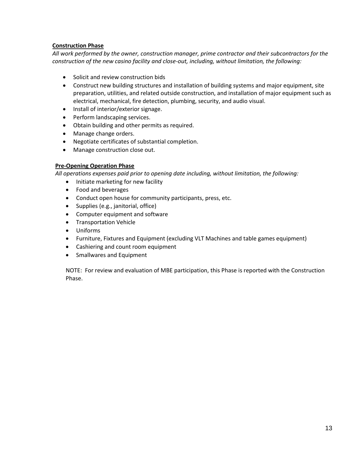#### **Construction Phase**

*All work performed by the owner, construction manager, prime contractor and their subcontractors for the construction of the new casino facility and close-out, including, without limitation, the following:*

- Solicit and review construction bids
- Construct new building structures and installation of building systems and major equipment, site preparation, utilities, and related outside construction, and installation of major equipment such as electrical, mechanical, fire detection, plumbing, security, and audio visual.
- Install of interior/exterior signage.
- Perform landscaping services.
- Obtain building and other permits as required.
- Manage change orders.
- Negotiate certificates of substantial completion.
- Manage construction close out.

#### **Pre-Opening Operation Phase**

*All operations expenses paid prior to opening date including, without limitation, the following:*

- Initiate marketing for new facility
- Food and beverages
- Conduct open house for community participants, press, etc.
- Supplies (e.g., janitorial, office)
- Computer equipment and software
- Transportation Vehicle
- Uniforms
- Furniture, Fixtures and Equipment (excluding VLT Machines and table games equipment)
- Cashiering and count room equipment
- Smallwares and Equipment

NOTE: For review and evaluation of MBE participation, this Phase is reported with the Construction Phase.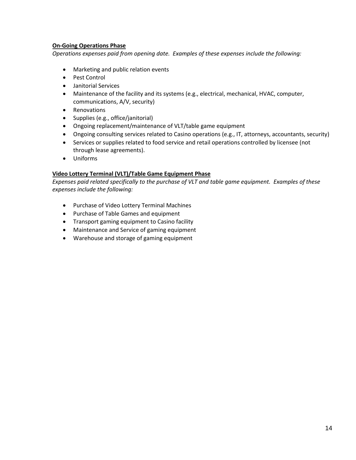#### **On-Going Operations Phase**

*Operations expenses paid from opening date. Examples of these expenses include the following:*

- Marketing and public relation events
- Pest Control
- Janitorial Services
- Maintenance of the facility and its systems (e.g., electrical, mechanical, HVAC, computer, communications, A/V, security)
- Renovations
- Supplies (e.g., office/janitorial)
- Ongoing replacement/maintenance of VLT/table game equipment
- Ongoing consulting services related to Casino operations (e.g., IT, attorneys, accountants, security)
- Services or supplies related to food service and retail operations controlled by licensee (not through lease agreements).
- Uniforms

## **Video Lottery Terminal (VLT)/Table Game Equipment Phase**

*Expenses paid related specifically to the purchase of VLT and table game equipment. Examples of these expenses include the following:*

- Purchase of Video Lottery Terminal Machines
- Purchase of Table Games and equipment
- Transport gaming equipment to Casino facility
- Maintenance and Service of gaming equipment
- Warehouse and storage of gaming equipment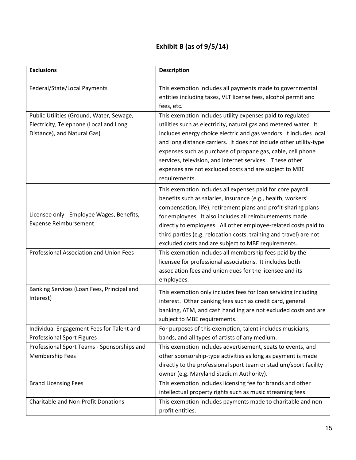## **Exhibit B (as of 9/5/14)**

| <b>Exclusions</b>                                                                                                 | <b>Description</b>                                                                                                                                                                                                                                                                                                                                                                                                                                                               |
|-------------------------------------------------------------------------------------------------------------------|----------------------------------------------------------------------------------------------------------------------------------------------------------------------------------------------------------------------------------------------------------------------------------------------------------------------------------------------------------------------------------------------------------------------------------------------------------------------------------|
| Federal/State/Local Payments                                                                                      | This exemption includes all payments made to governmental<br>entities including taxes, VLT license fees, alcohol permit and<br>fees, etc.                                                                                                                                                                                                                                                                                                                                        |
| Public Utilities (Ground, Water, Sewage,<br>Electricity, Telephone (Local and Long<br>Distance), and Natural Gas) | This exemption includes utility expenses paid to regulated<br>utilities such as electricity, natural gas and metered water. It<br>includes energy choice electric and gas vendors. It includes local<br>and long distance carriers. It does not include other utility-type<br>expenses such as purchase of propane gas, cable, cell phone<br>services, television, and internet services. These other<br>expenses are not excluded costs and are subject to MBE<br>requirements. |
| Licensee only - Employee Wages, Benefits,<br><b>Expense Reimbursement</b>                                         | This exemption includes all expenses paid for core payroll<br>benefits such as salaries, insurance (e.g., health, workers'<br>compensation, life), retirement plans and profit-sharing plans<br>for employees. It also includes all reimbursements made<br>directly to employees. All other employee-related costs paid to<br>third parties (e.g. relocation costs, training and travel) are not<br>excluded costs and are subject to MBE requirements.                          |
| Professional Association and Union Fees                                                                           | This exemption includes all membership fees paid by the<br>licensee for professional associations. It includes both<br>association fees and union dues for the licensee and its<br>employees.                                                                                                                                                                                                                                                                                    |
| Banking Services (Loan Fees, Principal and<br>Interest)                                                           | This exemption only includes fees for loan servicing including<br>interest. Other banking fees such as credit card, general<br>banking, ATM, and cash handling are not excluded costs and are<br>subject to MBE requirements.                                                                                                                                                                                                                                                    |
| Individual Engagement Fees for Talent and<br><b>Professional Sport Figures</b>                                    | For purposes of this exemption, talent includes musicians,<br>bands, and all types of artists of any medium.                                                                                                                                                                                                                                                                                                                                                                     |
| Professional Sport Teams - Sponsorships and<br><b>Membership Fees</b>                                             | This exemption includes advertisement, seats to events, and<br>other sponsorship-type activities as long as payment is made<br>directly to the professional sport team or stadium/sport facility<br>owner (e.g. Maryland Stadium Authority).                                                                                                                                                                                                                                     |
| <b>Brand Licensing Fees</b>                                                                                       | This exemption includes licensing fee for brands and other<br>intellectual property rights such as music streaming fees.                                                                                                                                                                                                                                                                                                                                                         |
| <b>Charitable and Non-Profit Donations</b>                                                                        | This exemption includes payments made to charitable and non-<br>profit entities.                                                                                                                                                                                                                                                                                                                                                                                                 |